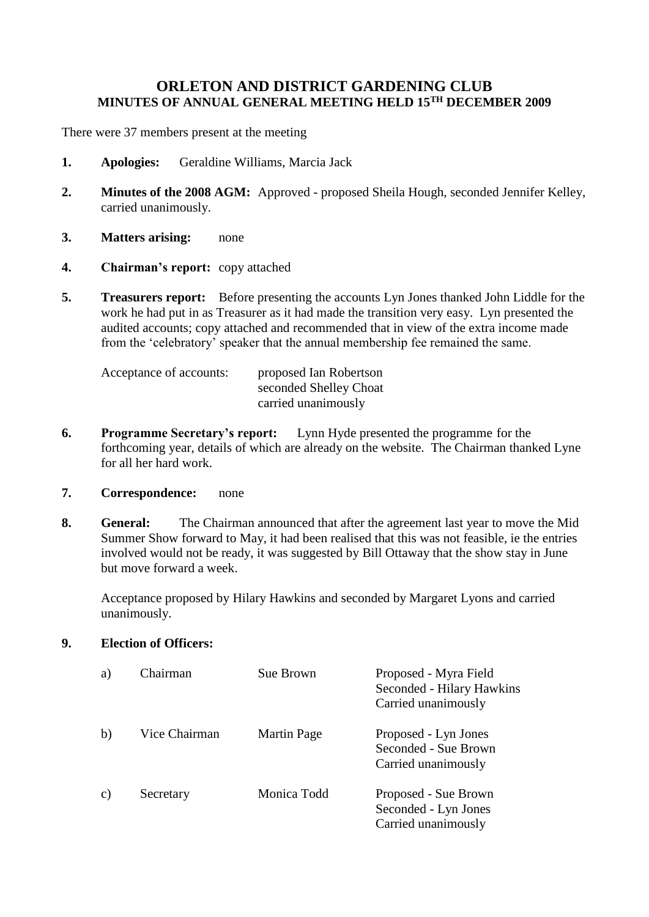## **ORLETON AND DISTRICT GARDENING CLUB MINUTES OF ANNUAL GENERAL MEETING HELD 15TH DECEMBER 2009**

There were 37 members present at the meeting

- **1. Apologies:** Geraldine Williams, Marcia Jack
- **2. Minutes of the 2008 AGM:** Approved proposed Sheila Hough, seconded Jennifer Kelley, carried unanimously.
- **3. Matters arising:** none
- **4. Chairman's report:** copy attached
- **5. Treasurers report:** Before presenting the accounts Lyn Jones thanked John Liddle for the work he had put in as Treasurer as it had made the transition very easy. Lyn presented the audited accounts; copy attached and recommended that in view of the extra income made from the 'celebratory' speaker that the annual membership fee remained the same.

| Acceptance of accounts: | proposed Ian Robertson |
|-------------------------|------------------------|
|                         | seconded Shelley Choat |
|                         | carried unanimously    |

- **6. Programme Secretary's report:** Lynn Hyde presented the programme for the forthcoming year, details of which are already on the website. The Chairman thanked Lyne for all her hard work.
- **7. Correspondence:** none
- **8. General:** The Chairman announced that after the agreement last year to move the Mid Summer Show forward to May, it had been realised that this was not feasible, ie the entries involved would not be ready, it was suggested by Bill Ottaway that the show stay in June but move forward a week.

Acceptance proposed by Hilary Hawkins and seconded by Margaret Lyons and carried unanimously.

**9. Election of Officers:**

| a) | Chairman      | Sue Brown          | Proposed - Myra Field<br>Seconded - Hilary Hawkins<br>Carried unanimously |
|----|---------------|--------------------|---------------------------------------------------------------------------|
| b) | Vice Chairman | <b>Martin Page</b> | Proposed - Lyn Jones<br>Seconded - Sue Brown<br>Carried unanimously       |
| C) | Secretary     | Monica Todd        | Proposed - Sue Brown<br>Seconded - Lyn Jones<br>Carried unanimously       |